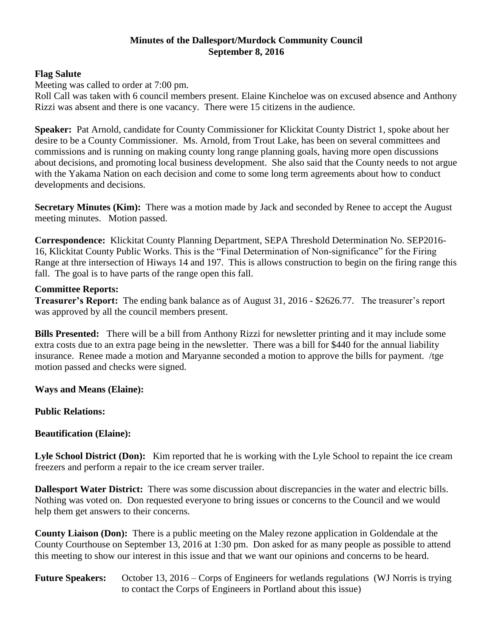# **Minutes of the Dallesport/Murdock Community Council September 8, 2016**

### **Flag Salute**

Meeting was called to order at 7:00 pm.

Roll Call was taken with 6 council members present. Elaine Kincheloe was on excused absence and Anthony Rizzi was absent and there is one vacancy. There were 15 citizens in the audience.

**Speaker:** Pat Arnold, candidate for County Commissioner for Klickitat County District 1, spoke about her desire to be a County Commissioner. Ms. Arnold, from Trout Lake, has been on several committees and commissions and is running on making county long range planning goals, having more open discussions about decisions, and promoting local business development. She also said that the County needs to not argue with the Yakama Nation on each decision and come to some long term agreements about how to conduct developments and decisions.

**Secretary Minutes (Kim):** There was a motion made by Jack and seconded by Renee to accept the August meeting minutes. Motion passed.

**Correspondence:** Klickitat County Planning Department, SEPA Threshold Determination No. SEP2016- 16, Klickitat County Public Works. This is the "Final Determination of Non-significance" for the Firing Range at thre intersection of Hiways 14 and 197. This is allows construction to begin on the firing range this fall. The goal is to have parts of the range open this fall.

#### **Committee Reports:**

**Treasurer's Report:** The ending bank balance as of August 31, 2016 - \$2626.77. The treasurer's report was approved by all the council members present.

**Bills Presented:** There will be a bill from Anthony Rizzi for newsletter printing and it may include some extra costs due to an extra page being in the newsletter. There was a bill for \$440 for the annual liability insurance. Renee made a motion and Maryanne seconded a motion to approve the bills for payment. /tge motion passed and checks were signed.

**Ways and Means (Elaine):**

# **Public Relations:**

# **Beautification (Elaine):**

Lyle School District (Don): Kim reported that he is working with the Lyle School to repaint the ice cream freezers and perform a repair to the ice cream server trailer.

**Dallesport Water District:** There was some discussion about discrepancies in the water and electric bills. Nothing was voted on. Don requested everyone to bring issues or concerns to the Council and we would help them get answers to their concerns.

**County Liaison (Don):** There is a public meeting on the Maley rezone application in Goldendale at the County Courthouse on September 13, 2016 at 1:30 pm. Don asked for as many people as possible to attend this meeting to show our interest in this issue and that we want our opinions and concerns to be heard.

**Future Speakers:** October 13, 2016 – Corps of Engineers for wetlands regulations (WJ Norris is trying to contact the Corps of Engineers in Portland about this issue)